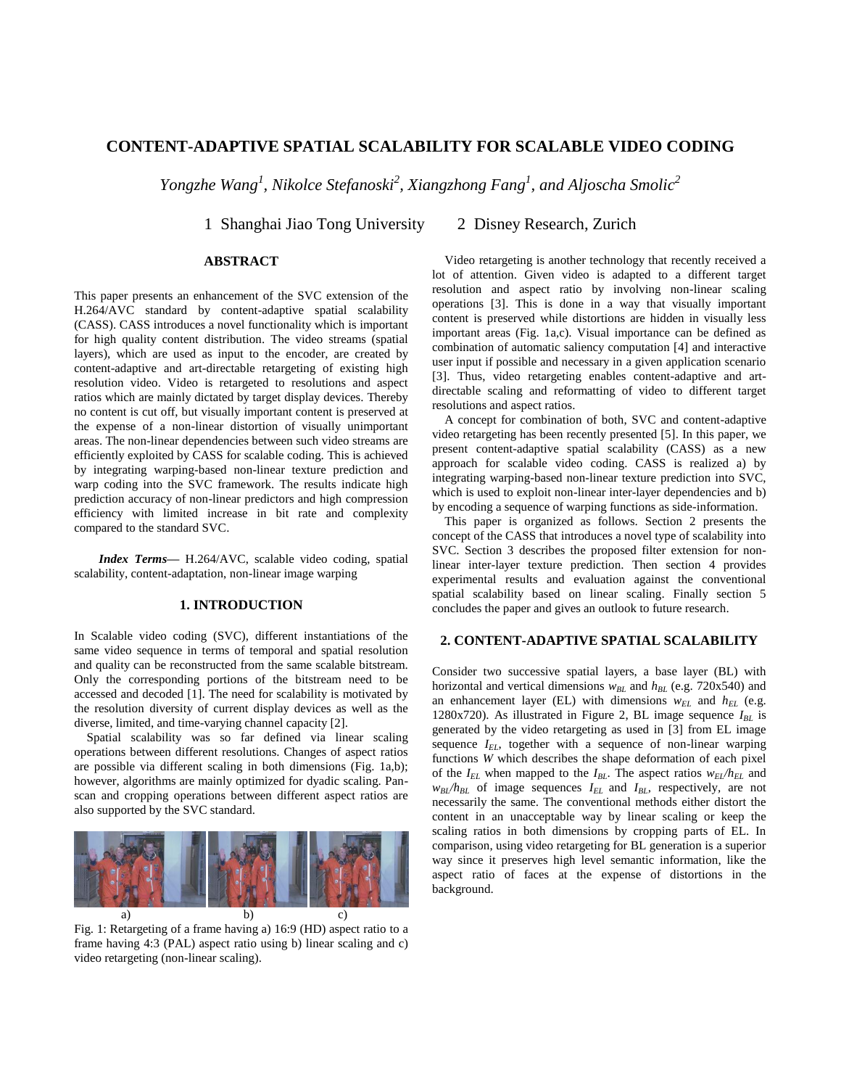# **CONTENT-ADAPTIVE SPATIAL SCALABILITY FOR SCALABLE VIDEO CODING**

*Yongzhe Wang<sup>1</sup> , Nikolce Stefanoski<sup>2</sup> , Xiangzhong Fang<sup>1</sup> , and Aljoscha Smolic<sup>2</sup>*

1 Shanghai Jiao Tong University 2 Disney Research, Zurich

## **ABSTRACT**

This paper presents an enhancement of the SVC extension of the H.264/AVC standard by content-adaptive spatial scalability (CASS). CASS introduces a novel functionality which is important for high quality content distribution. The video streams (spatial layers), which are used as input to the encoder, are created by content-adaptive and art-directable retargeting of existing high resolution video. Video is retargeted to resolutions and aspect ratios which are mainly dictated by target display devices. Thereby no content is cut off, but visually important content is preserved at the expense of a non-linear distortion of visually unimportant areas. The non-linear dependencies between such video streams are efficiently exploited by CASS for scalable coding. This is achieved by integrating warping-based non-linear texture prediction and warp coding into the SVC framework. The results indicate high prediction accuracy of non-linear predictors and high compression efficiency with limited increase in bit rate and complexity compared to the standard SVC.

*Index Terms—* H.264/AVC, scalable video coding, spatial scalability, content-adaptation, non-linear image warping

## **1. INTRODUCTION**

In Scalable video coding (SVC), different instantiations of the same video sequence in terms of temporal and spatial resolution and quality can be reconstructed from the same scalable bitstream. Only the corresponding portions of the bitstream need to be accessed and decoded [1]. The need for scalability is motivated by the resolution diversity of current display devices as well as the diverse, limited, and time-varying channel capacity [2].

 Spatial scalability was so far defined via linear scaling operations between different resolutions. Changes of aspect ratios are possible via different scaling in both dimensions (Fig. 1a,b); however, algorithms are mainly optimized for dyadic scaling. Panscan and cropping operations between different aspect ratios are also supported by the SVC standard.



Fig. 1: Retargeting of a frame having a) 16:9 (HD) aspect ratio to a frame having 4:3 (PAL) aspect ratio using b) linear scaling and c) video retargeting (non-linear scaling).

 Video retargeting is another technology that recently received a lot of attention. Given video is adapted to a different target resolution and aspect ratio by involving non-linear scaling operations [3]. This is done in a way that visually important content is preserved while distortions are hidden in visually less important areas (Fig. 1a,c). Visual importance can be defined as combination of automatic saliency computation [4] and interactive user input if possible and necessary in a given application scenario [3]. Thus, video retargeting enables content-adaptive and artdirectable scaling and reformatting of video to different target resolutions and aspect ratios.

 A concept for combination of both, SVC and content-adaptive video retargeting has been recently presented [5]. In this paper, we present content-adaptive spatial scalability (CASS) as a new approach for scalable video coding. CASS is realized a) by integrating warping-based non-linear texture prediction into SVC, which is used to exploit non-linear inter-layer dependencies and b) by encoding a sequence of warping functions as side-information.

 This paper is organized as follows. Section 2 presents the concept of the CASS that introduces a novel type of scalability into SVC. Section 3 describes the proposed filter extension for nonlinear inter-layer texture prediction. Then section 4 provides experimental results and evaluation against the conventional spatial scalability based on linear scaling. Finally section 5 concludes the paper and gives an outlook to future research.

### **2. CONTENT-ADAPTIVE SPATIAL SCALABILITY**

Consider two successive spatial layers, a base layer (BL) with horizontal and vertical dimensions  $w_{BL}$  and  $h_{BL}$  (e.g. 720x540) and an enhancement layer (EL) with dimensions  $w_{EL}$  and  $h_{EL}$  (e.g. 1280x720). As illustrated in Figure 2, BL image sequence  $I_{BL}$  is generated by the video retargeting as used in [3] from EL image sequence  $I_{EL}$ , together with a sequence of non-linear warping functions *W* which describes the shape deformation of each pixel of the  $I_{EL}$  when mapped to the  $I_{BL}$ . The aspect ratios  $w_{EL}/h_{EL}$  and  $w_{BL}/h_{BL}$  of image sequences  $I_{EL}$  and  $I_{BL}$  respectively, are not necessarily the same. The conventional methods either distort the content in an unacceptable way by linear scaling or keep the scaling ratios in both dimensions by cropping parts of EL. In comparison, using video retargeting for BL generation is a superior way since it preserves high level semantic information, like the aspect ratio of faces at the expense of distortions in the background.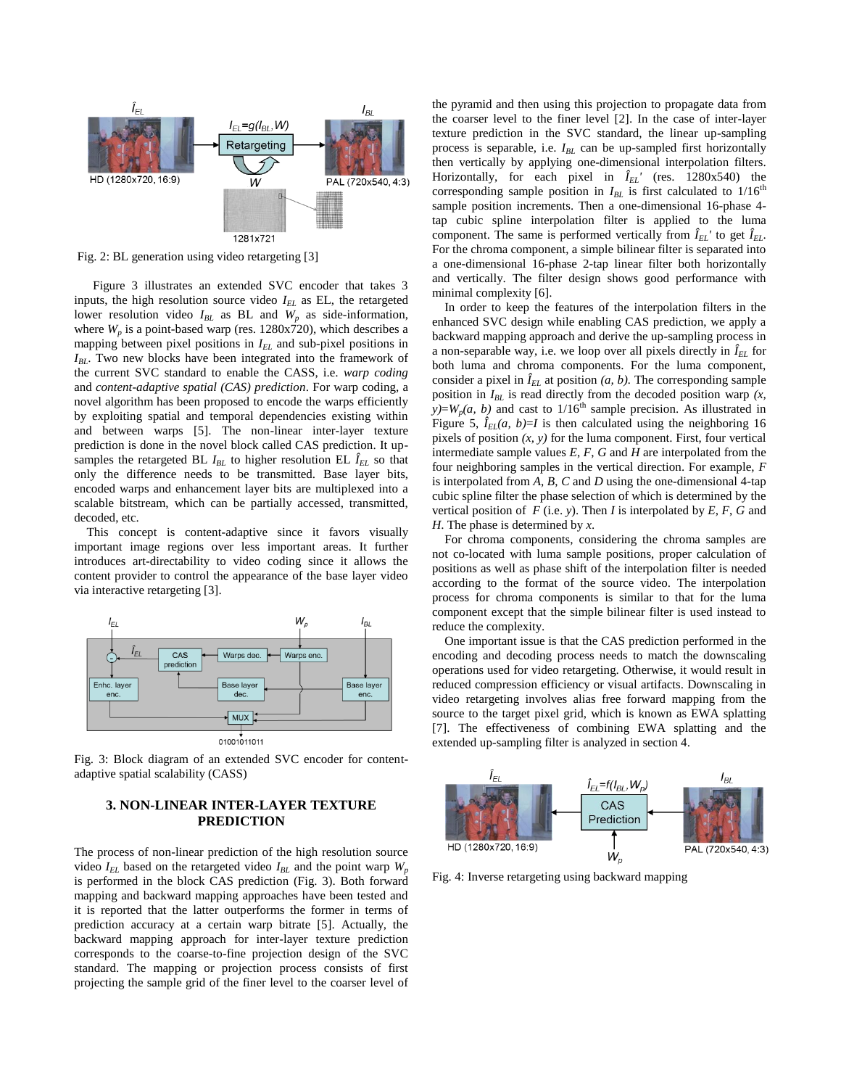

Fig. 2: BL generation using video retargeting [3]

Figure 3 illustrates an extended SVC encoder that takes 3 inputs, the high resolution source video *IEL* as EL, the retargeted lower resolution video  $I_{BL}$  as BL and  $W_p$  as side-information, where  $W_p$  is a point-based warp (res.  $1280x720$ ), which describes a mapping between pixel positions in *IEL* and sub-pixel positions in *IBL*. Two new blocks have been integrated into the framework of the current SVC standard to enable the CASS, i.e*. warp coding* and *content-adaptive spatial (CAS) prediction*. For warp coding, a novel algorithm has been proposed to encode the warps efficiently by exploiting spatial and temporal dependencies existing within and between warps [5]. The non-linear inter-layer texture prediction is done in the novel block called CAS prediction. It upsamples the retargeted BL  $I_{BL}$  to higher resolution EL  $\hat{I}_{EL}$  so that only the difference needs to be transmitted. Base layer bits, encoded warps and enhancement layer bits are multiplexed into a scalable bitstream, which can be partially accessed, transmitted, decoded, etc.

 This concept is content-adaptive since it favors visually important image regions over less important areas. It further introduces art-directability to video coding since it allows the content provider to control the appearance of the base layer video via interactive retargeting [3].



Fig. 3: Block diagram of an extended SVC encoder for contentadaptive spatial scalability (CASS)

## **3. NON-LINEAR INTER-LAYER TEXTURE PREDICTION**

The process of non-linear prediction of the high resolution source video  $I_{EL}$  based on the retargeted video  $I_{BL}$  and the point warp  $W_p$ is performed in the block CAS prediction (Fig. 3). Both forward mapping and backward mapping approaches have been tested and it is reported that the latter outperforms the former in terms of prediction accuracy at a certain warp bitrate [5]. Actually, the backward mapping approach for inter-layer texture prediction corresponds to the coarse-to-fine projection design of the SVC standard. The mapping or projection process consists of first projecting the sample grid of the finer level to the coarser level of the pyramid and then using this projection to propagate data from the coarser level to the finer level [2]. In the case of inter-layer texture prediction in the SVC standard, the linear up-sampling process is separable, i.e. *IBL* can be up-sampled first horizontally then vertically by applying one-dimensional interpolation filters. Horizontally, for each pixel in  $\hat{I}_{EL}$ <sup>'</sup> (res. 1280x540) the corresponding sample position in  $I_{BL}$  is first calculated to  $1/16^{th}$ sample position increments. Then a one-dimensional 16-phase 4 tap cubic spline interpolation filter is applied to the luma component. The same is performed vertically from  $\hat{I}_{EL}$ <sup>'</sup> to get  $\hat{I}_{EL}$ <sup>2</sup>. For the chroma component, a simple bilinear filter is separated into a one-dimensional 16-phase 2-tap linear filter both horizontally and vertically. The filter design shows good performance with minimal complexity [6].

 In order to keep the features of the interpolation filters in the enhanced SVC design while enabling CAS prediction, we apply a backward mapping approach and derive the up-sampling process in a non-separable way, i.e. we loop over all pixels directly in  $\hat{I}_{EL}$  for both luma and chroma components. For the luma component, consider a pixel in  $\hat{I}_{EL}$  at position  $(a, b)$ . The corresponding sample position in  $I_{BL}$  is read directly from the decoded position warp  $(x, \theta)$  $\hat{y}$ =*W<sub>p</sub>*(*a, b*) and cast to 1/16<sup>th</sup> sample precision. As illustrated in Figure 5,  $\hat{I}_{EL}(a, b)=I$  is then calculated using the neighboring 16 pixels of position *(x, y)* for the luma component. First, four vertical intermediate sample values *E*, *F*, *G* and *H* are interpolated from the four neighboring samples in the vertical direction. For example, *F* is interpolated from *A*, *B*, *C* and *D* using the one-dimensional 4-tap cubic spline filter the phase selection of which is determined by the vertical position of  $F$  (i.e. *y*). Then *I* is interpolated by  $E$ ,  $F$ ,  $G$  and *H*. The phase is determined by *x*.

 For chroma components, considering the chroma samples are not co-located with luma sample positions, proper calculation of positions as well as phase shift of the interpolation filter is needed according to the format of the source video. The interpolation process for chroma components is similar to that for the luma component except that the simple bilinear filter is used instead to reduce the complexity.

 One important issue is that the CAS prediction performed in the encoding and decoding process needs to match the downscaling operations used for video retargeting. Otherwise, it would result in reduced compression efficiency or visual artifacts. Downscaling in video retargeting involves alias free forward mapping from the source to the target pixel grid, which is known as EWA splatting [7]. The effectiveness of combining EWA splatting and the extended up-sampling filter is analyzed in section 4.



Fig. 4: Inverse retargeting using backward mapping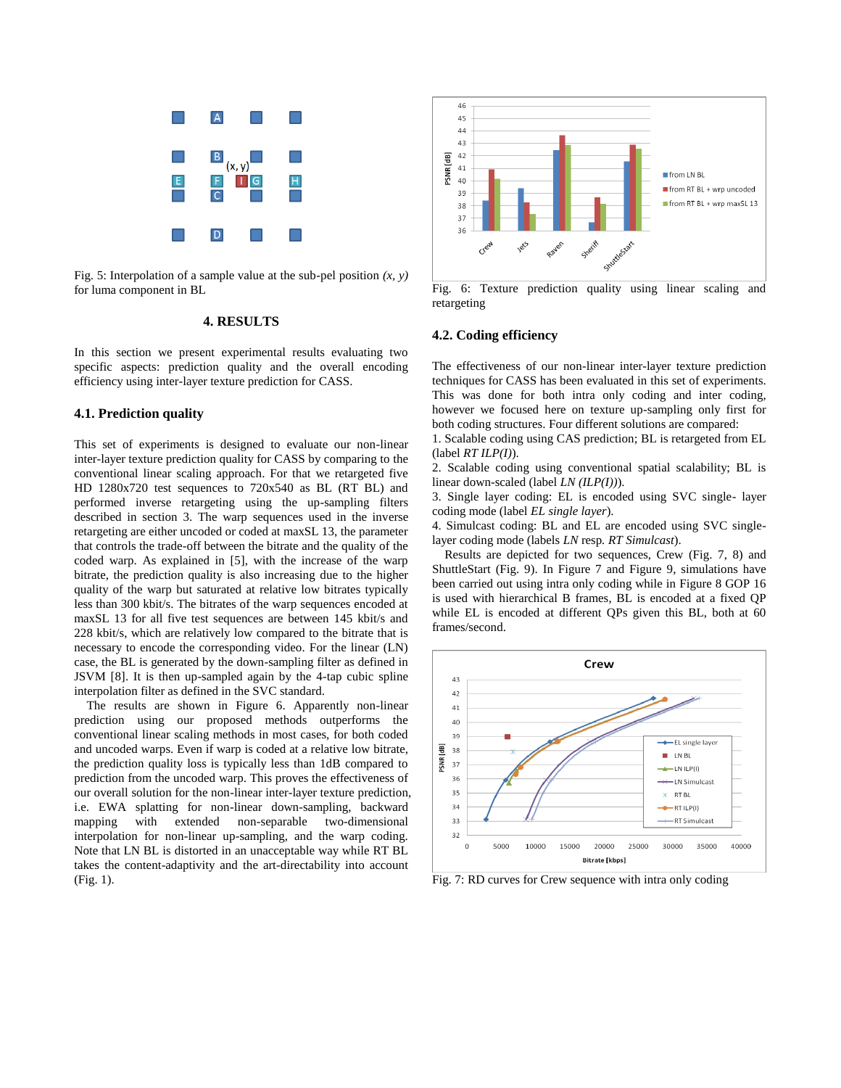

Fig. 5: Interpolation of a sample value at the sub-pel position *(x, y)* for luma component in BL

#### **4. RESULTS**

In this section we present experimental results evaluating two specific aspects: prediction quality and the overall encoding efficiency using inter-layer texture prediction for CASS.

### **4.1. Prediction quality**

This set of experiments is designed to evaluate our non-linear inter-layer texture prediction quality for CASS by comparing to the conventional linear scaling approach. For that we retargeted five HD 1280x720 test sequences to 720x540 as BL (RT BL) and performed inverse retargeting using the up-sampling filters described in section 3. The warp sequences used in the inverse retargeting are either uncoded or coded at maxSL 13, the parameter that controls the trade-off between the bitrate and the quality of the coded warp. As explained in [5], with the increase of the warp bitrate, the prediction quality is also increasing due to the higher quality of the warp but saturated at relative low bitrates typically less than 300 kbit/s. The bitrates of the warp sequences encoded at maxSL 13 for all five test sequences are between 145 kbit/s and 228 kbit/s, which are relatively low compared to the bitrate that is necessary to encode the corresponding video. For the linear (LN) case, the BL is generated by the down-sampling filter as defined in JSVM [8]. It is then up-sampled again by the 4-tap cubic spline interpolation filter as defined in the SVC standard.

 The results are shown in Figure 6. Apparently non-linear prediction using our proposed methods outperforms the conventional linear scaling methods in most cases, for both coded and uncoded warps. Even if warp is coded at a relative low bitrate, the prediction quality loss is typically less than 1dB compared to prediction from the uncoded warp. This proves the effectiveness of our overall solution for the non-linear inter-layer texture prediction, i.e. EWA splatting for non-linear down-sampling, backward mapping with extended non-separable two-dimensional interpolation for non-linear up-sampling, and the warp coding. Note that LN BL is distorted in an unacceptable way while RT BL takes the content-adaptivity and the art-directability into account (Fig. 1).



Fig. 6: Texture prediction quality using linear scaling and retargeting

## **4.2. Coding efficiency**

The effectiveness of our non-linear inter-layer texture prediction techniques for CASS has been evaluated in this set of experiments. This was done for both intra only coding and inter coding, however we focused here on texture up-sampling only first for both coding structures. Four different solutions are compared:

1. Scalable coding using CAS prediction; BL is retargeted from EL (label *RT ILP(I)*).

2. Scalable coding using conventional spatial scalability; BL is linear down-scaled (label *LN (ILP(I))*).

3. Single layer coding: EL is encoded using SVC single- layer coding mode (label *EL single layer*).

4. Simulcast coding: BL and EL are encoded using SVC singlelayer coding mode (labels *LN* resp*. RT Simulcast*).

 Results are depicted for two sequences, Crew (Fig. 7, 8) and ShuttleStart (Fig. 9). In Figure 7 and Figure 9, simulations have been carried out using intra only coding while in Figure 8 GOP 16 is used with hierarchical B frames, BL is encoded at a fixed QP while EL is encoded at different QPs given this BL, both at 60 frames/second.



Fig. 7: RD curves for Crew sequence with intra only coding